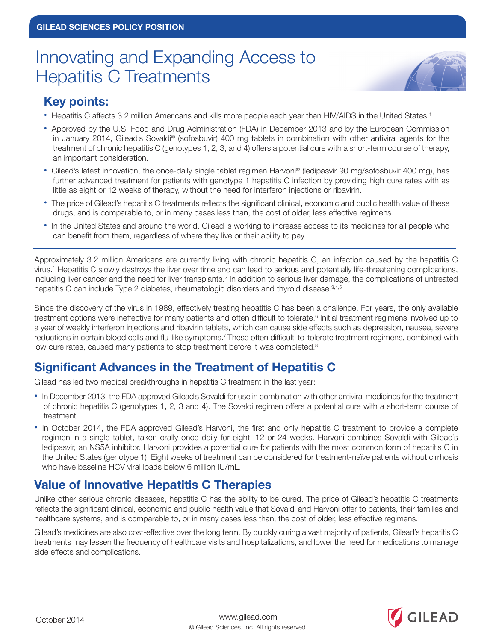# Innovating and Expanding Access to Hepatitis C Treatments



#### **Key points:**

- Hepatitis C affects 3.2 million Americans and kills more people each year than HIV/AIDS in the United States.<sup>1</sup>
- Approved by the U.S. Food and Drug Administration (FDA) in December 2013 and by the European Commission in January 2014, Gilead's Sovaldi® (sofosbuvir) 400 mg tablets in combination with other antiviral agents for the treatment of chronic hepatitis C (genotypes 1, 2, 3, and 4) offers a potential cure with a short-term course of therapy, an important consideration.
- Gilead's latest innovation, the once-daily single tablet regimen Harvoni® (ledipasvir 90 mg/sofosbuvir 400 mg), has further advanced treatment for patients with genotype 1 hepatitis C infection by providing high cure rates with as little as eight or 12 weeks of therapy, without the need for interferon injections or ribavirin.
- The price of Gilead's hepatitis C treatments reflects the significant clinical, economic and public health value of these drugs, and is comparable to, or in many cases less than, the cost of older, less effective regimens.
- In the United States and around the world, Gilead is working to increase access to its medicines for all people who can benefit from them, regardless of where they live or their ability to pay.

Approximately 3.2 million Americans are currently living with chronic hepatitis C, an infection caused by the hepatitis C virus.1 Hepatitis C slowly destroys the liver over time and can lead to serious and potentially life-threatening complications, including liver cancer and the need for liver transplants.<sup>2</sup> In addition to serious liver damage, the complications of untreated hepatitis C can include Type 2 diabetes, rheumatologic disorders and thyroid disease.3,4,5

Since the discovery of the virus in 1989, effectively treating hepatitis C has been a challenge. For years, the only available treatment options were ineffective for many patients and often difficult to tolerate.<sup>6</sup> Initial treatment regimens involved up to a year of weekly interferon injections and ribavirin tablets, which can cause side effects such as depression, nausea, severe reductions in certain blood cells and flu-like symptoms.<sup>7</sup>These often difficult-to-tolerate treatment regimens, combined with low cure rates, caused many patients to stop treatment before it was completed.<sup>8</sup>

## **Significant Advances in the Treatment of Hepatitis C**

Gilead has led two medical breakthroughs in hepatitis C treatment in the last year:

- In December 2013, the FDA approved Gilead's Sovaldi for use in combination with other antiviral medicines for the treatment of chronic hepatitis C (genotypes 1, 2, 3 and 4). The Sovaldi regimen offers a potential cure with a short-term course of treatment.
- **•** In October 2014, the FDA approved Gilead's Harvoni, the first and only hepatitis C treatment to provide a complete regimen in a single tablet, taken orally once daily for eight, 12 or 24 weeks. Harvoni combines Sovaldi with Gilead's ledipasvir, an NS5A inhibitor. Harvoni provides a potential cure for patients with the most common form of hepatitis C in the United States (genotype 1). Eight weeks of treatment can be considered for treatment-naïve patients without cirrhosis who have baseline HCV viral loads below 6 million IU/mL.

## **Value of Innovative Hepatitis C Therapies**

Unlike other serious chronic diseases, hepatitis C has the ability to be cured. The price of Gilead's hepatitis C treatments reflects the significant clinical, economic and public health value that Sovaldi and Harvoni offer to patients, their families and healthcare systems, and is comparable to, or in many cases less than, the cost of older, less effective regimens.

Gilead's medicines are also cost-effective over the long term. By quickly curing a vast majority of patients, Gilead's hepatitis C treatments may lessen the frequency of healthcare visits and hospitalizations, and lower the need for medications to manage side effects and complications.